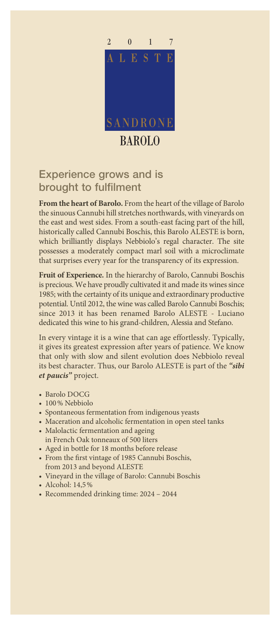

## Experience grows and is brought to fulfilment

**From the heart of Barolo.** From the heart of the village of Barolo the sinuous Cannubi hill stretches northwards, with vineyards on the east and west sides. From a south-east facing part of the hill, historically called Cannubi Boschis, this Barolo ALESTE is born, which brilliantly displays Nebbiolo's regal character. The site possesses a moderately compact marl soil with a microclimate that surprises every year for the transparency of its expression.

**Fruit of Experience.** In the hierarchy of Barolo, Cannubi Boschis is precious. We have proudly cultivated it and made its wines since 1985; with the certainty of its unique and extraordinary productive potential. Until 2012, the wine was called Barolo Cannubi Boschis; since 2013 it has been renamed Barolo ALESTE - Luciano dedicated this wine to his grand-children, Alessia and Stefano.

In every vintage it is a wine that can age effortlessly. Typically, it gives its greatest expression after years of patience. We know that only with slow and silent evolution does Nebbiolo reveal its best character. Thus, our Barolo ALESTE is part of the *"sibi et paucis"* project.

- Barolo DOCG
- 100% Nebbiolo
- Spontaneous fermentation from indigenous yeasts
- Maceration and alcoholic fermentation in open steel tanks
- Malolactic fermentation and ageing in French Oak tonneaux of 500 liters
- Aged in bottle for 18 months before release
- From the first vintage of 1985 Cannubi Boschis, from 2013 and beyond ALESTE
- Vineyard in the village of Barolo: Cannubi Boschis
- Alcohol: 14,5%
- Recommended drinking time: 2024 2044